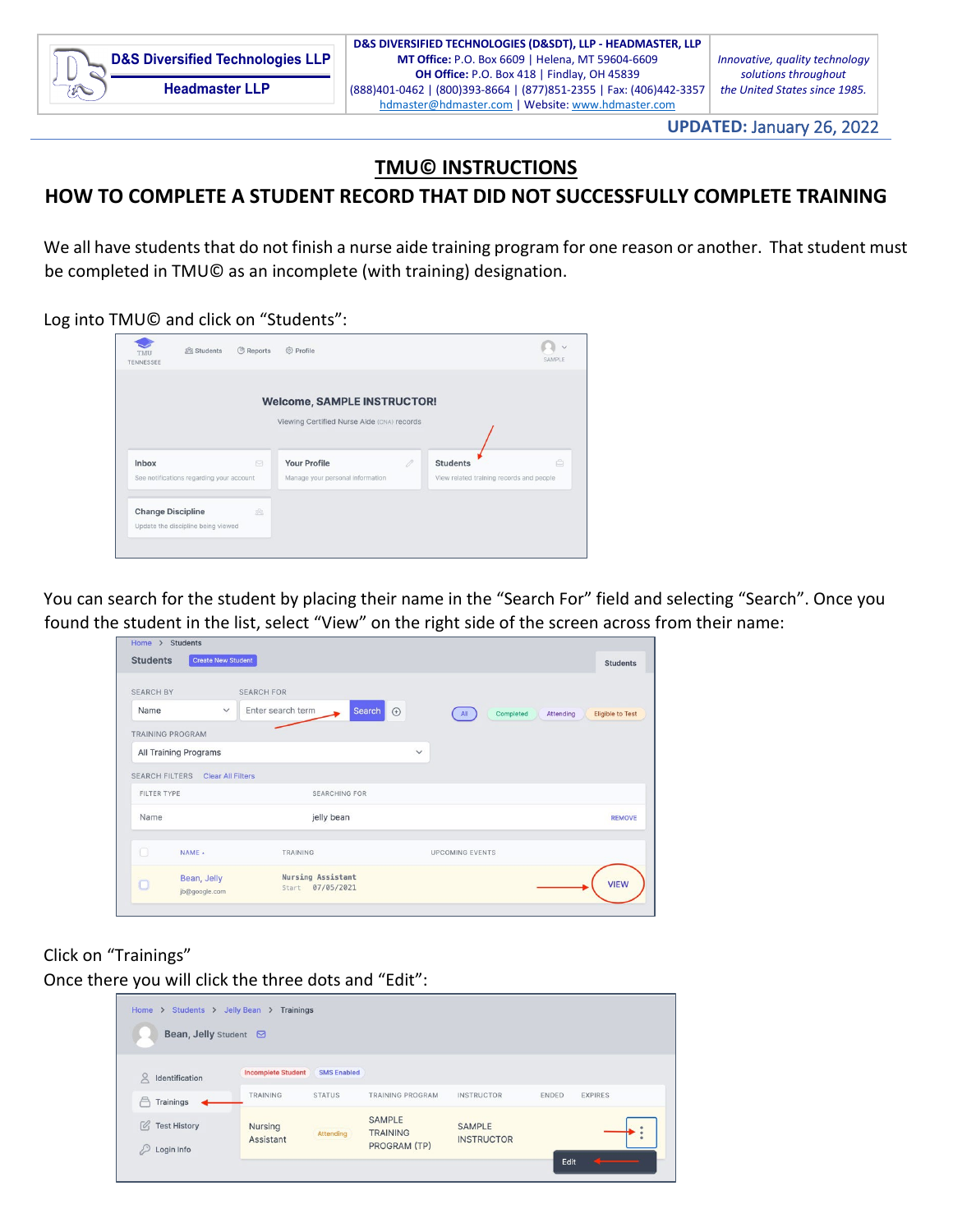

**UPDATED:** January 26, 2022

## **TMU© INSTRUCTIONS**

## **HOW TO COMPLETE A STUDENT RECORD THAT DID NOT SUCCESSFULLY COMPLETE TRAINING**

We all have students that do not finish a nurse aide training program for one reason or another. That student must be completed in TMU© as an incomplete (with training) designation.

Log into TMU© and click on "Students":

| TMU<br>TENNESSEE | 器 Students                               | <b>母 Reports</b> | <b><i><sup>o</sup></i></b> Profile                                               |   |                                                              | SAMPLE |
|------------------|------------------------------------------|------------------|----------------------------------------------------------------------------------|---|--------------------------------------------------------------|--------|
|                  |                                          |                  | <b>Welcome, SAMPLE INSTRUCTOR!</b><br>Viewing Certified Nurse Aide (CNA) records |   |                                                              |        |
| Inbox            | See notifications regarding your account | $\Box$           | <b>Your Profile</b><br>Manage your personal information                          | 0 | <b>Students</b><br>View related training records and people. | ê      |
|                  |                                          |                  |                                                                                  |   |                                                              |        |

You can search for the student by placing their name in the "Search For" field and selecting "Search". Once you found the student in the list, select "View" on the right side of the screen across from their name:

| <b>Students</b>         | <b>Create New Student</b>        |                                                 |              | <b>Students</b>                                          |
|-------------------------|----------------------------------|-------------------------------------------------|--------------|----------------------------------------------------------|
| <b>SEARCH BY</b>        |                                  | <b>SEARCH FOR</b>                               |              |                                                          |
| Name                    | $\checkmark$                     | Enter search term<br>Search                     | $\odot$      | All<br>Completed<br><b>Eligible to Test</b><br>Attending |
| <b>TRAINING PROGRAM</b> |                                  |                                                 |              |                                                          |
|                         | All Training Programs            |                                                 | $\checkmark$ |                                                          |
|                         | SEARCH FILTERS Clear All Filters |                                                 |              |                                                          |
| FILTER TYPE             |                                  | <b>SEARCHING FOR</b>                            |              |                                                          |
| Name                    |                                  | jelly bean                                      |              | <b>REMOVE</b>                                            |
| $\Box$                  | NAME -                           | TRAINING                                        |              | <b>UPCOMING EVENTS</b>                                   |
| $\Box$                  | Bean, Jelly<br>jb@google.com     | <b>Nursing Assistant</b><br>07/05/2021<br>Start |              | <b>VIEW</b>                                              |

Click on "Trainings"

Once there you will click the three dots and "Edit":

| Students ><br>Home ><br>Bean, Jelly Student <b>⊠</b>      | Jelly Bean<br>Trainings<br>$\rightarrow$ |                    |                                                         |                                    |       |                |
|-----------------------------------------------------------|------------------------------------------|--------------------|---------------------------------------------------------|------------------------------------|-------|----------------|
| OC<br>Identification                                      | <b>Incomplete Student</b>                | <b>SMS Enabled</b> |                                                         |                                    |       |                |
| A<br>Trainings                                            | TRAINING                                 | <b>STATUS</b>      | TRAINING PROGRAM                                        | <b>INSTRUCTOR</b>                  | ENDED | <b>EXPIRES</b> |
| $\mathcal{O}_1$<br><b>Test History</b><br>₽<br>Login Info | Nursing<br>Assistant                     | Attending          | <b>SAMPLE</b><br><b>TRAINING</b><br><b>PROGRAM (TP)</b> | <b>SAMPLE</b><br><b>INSTRUCTOR</b> |       | ٠              |
|                                                           |                                          |                    |                                                         |                                    | Edit  |                |